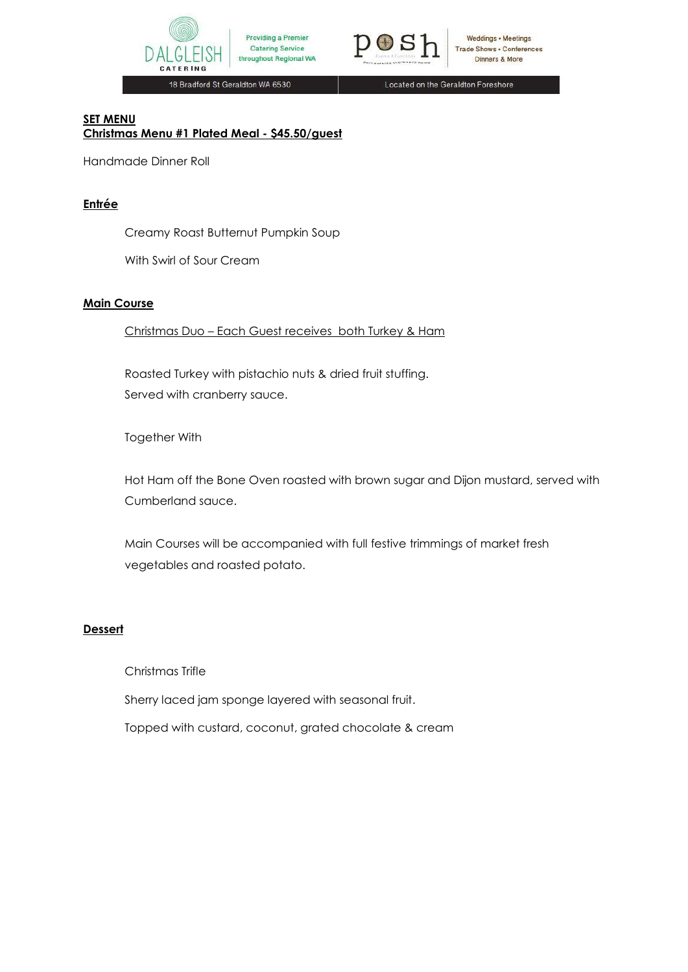



18 Bradford St Geraldton WA 6530

Located on the Geraldton Foreshore

#### **SET MENU Christmas Menu #1 Plated Meal - \$45.50/guest**

Handmade Dinner Roll

# **Entrée**

Creamy Roast Butternut Pumpkin Soup

With Swirl of Sour Cream

## **Main Course**

Christmas Duo – Each Guest receives both Turkey & Ham

Roasted Turkey with pistachio nuts & dried fruit stuffing. Served with cranberry sauce.

Together With

Hot Ham off the Bone Oven roasted with brown sugar and Dijon mustard, served with Cumberland sauce.

Main Courses will be accompanied with full festive trimmings of market fresh vegetables and roasted potato.

# **Dessert**

Christmas Trifle

Sherry laced jam sponge layered with seasonal fruit.

Topped with custard, coconut, grated chocolate & cream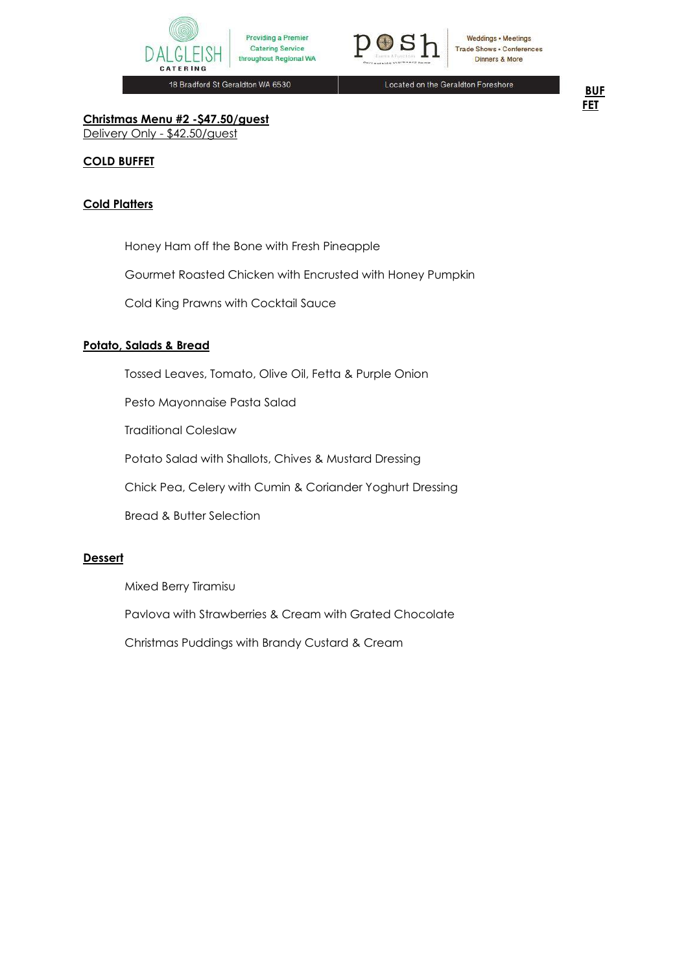



18 Bradford St Geraldton WA 6530

Located on the Geraldton Foreshore

**BUF FET**

**Christmas Menu #2 -\$47.50/guest** Delivery Only - \$42.50/guest

## **COLD BUFFET**

## **Cold Platters**

Honey Ham off the Bone with Fresh Pineapple

Gourmet Roasted Chicken with Encrusted with Honey Pumpkin

Cold King Prawns with Cocktail Sauce

## **Potato, Salads & Bread**

Tossed Leaves, Tomato, Olive Oil, Fetta & Purple Onion

Pesto Mayonnaise Pasta Salad

Traditional Coleslaw

Potato Salad with Shallots, Chives & Mustard Dressing

Chick Pea, Celery with Cumin & Coriander Yoghurt Dressing

Bread & Butter Selection

#### **Dessert**

Mixed Berry Tiramisu

Pavlova with Strawberries & Cream with Grated Chocolate

Christmas Puddings with Brandy Custard & Cream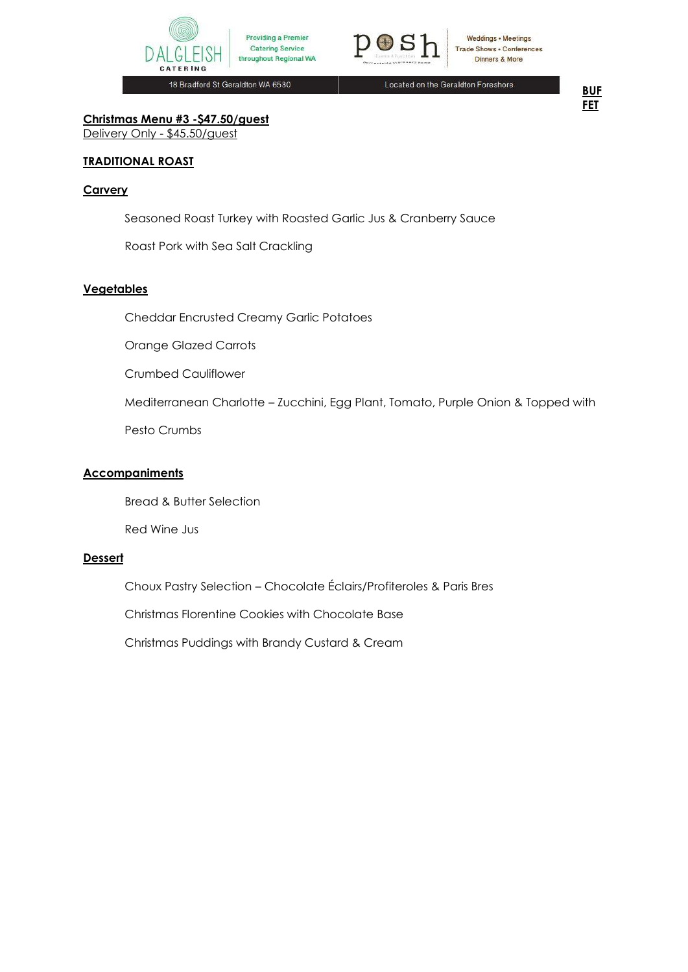



18 Bradford St Geraldton WA 6530

Located on the Geraldton Foreshore



**Christmas Menu #3 -\$47.50/guest** Delivery Only - \$45.50/guest

## **TRADITIONAL ROAST**

#### **Carvery**

Seasoned Roast Turkey with Roasted Garlic Jus & Cranberry Sauce

Roast Pork with Sea Salt Crackling

#### **Vegetables**

Cheddar Encrusted Creamy Garlic Potatoes

Orange Glazed Carrots

Crumbed Cauliflower

Mediterranean Charlotte – Zucchini, Egg Plant, Tomato, Purple Onion & Topped with

Pesto Crumbs

## **Accompaniments**

Bread & Butter Selection

Red Wine Jus

#### **Dessert**

Choux Pastry Selection – Chocolate Éclairs/Profiteroles & Paris Bres

Christmas Florentine Cookies with Chocolate Base

Christmas Puddings with Brandy Custard & Cream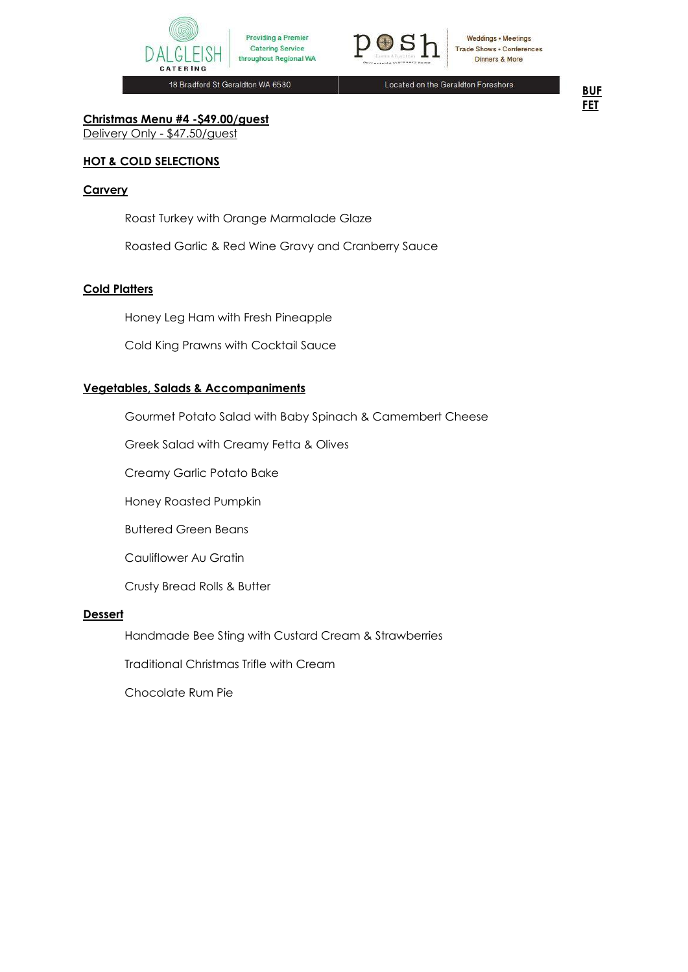



18 Bradford St Geraldton WA 6530

Located on the Geraldton Foreshore

**BUF FET**

**Christmas Menu #4 -\$49.00/guest** Delivery Only - \$47.50/guest

## **HOT & COLD SELECTIONS**

#### **Carvery**

Roast Turkey with Orange Marmalade Glaze

Roasted Garlic & Red Wine Gravy and Cranberry Sauce

#### **Cold Platters**

Honey Leg Ham with Fresh Pineapple

Cold King Prawns with Cocktail Sauce

#### **Vegetables, Salads & Accompaniments**

Gourmet Potato Salad with Baby Spinach & Camembert Cheese

Greek Salad with Creamy Fetta & Olives

Creamy Garlic Potato Bake

Honey Roasted Pumpkin

Buttered Green Beans

Cauliflower Au Gratin

Crusty Bread Rolls & Butter

#### **Dessert**

Handmade Bee Sting with Custard Cream & Strawberries

Traditional Christmas Trifle with Cream

Chocolate Rum Pie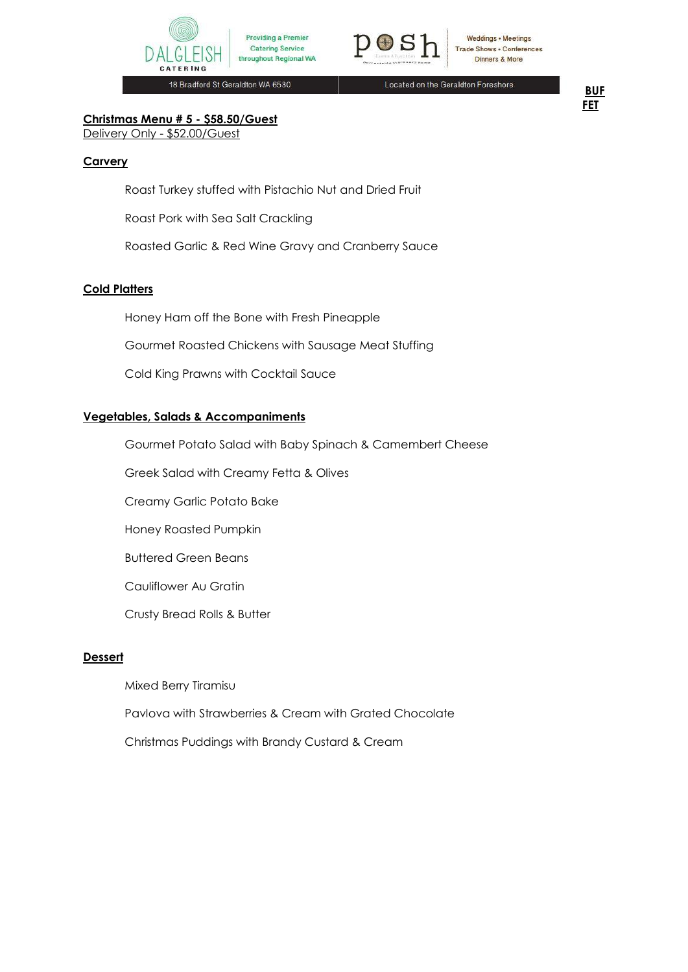



18 Bradford St Geraldton WA 6530

Located on the Geraldton Foreshore

**BUF FET**

# **Christmas Menu # 5 - \$58.50/Guest**

Delivery Only - \$52.00/Guest

#### **Carvery**

Roast Turkey stuffed with Pistachio Nut and Dried Fruit

Roast Pork with Sea Salt Crackling

Roasted Garlic & Red Wine Gravy and Cranberry Sauce

#### **Cold Platters**

Honey Ham off the Bone with Fresh Pineapple

Gourmet Roasted Chickens with Sausage Meat Stuffing

Cold King Prawns with Cocktail Sauce

## **Vegetables, Salads & Accompaniments**

Gourmet Potato Salad with Baby Spinach & Camembert Cheese

Greek Salad with Creamy Fetta & Olives

Creamy Garlic Potato Bake

Honey Roasted Pumpkin

Buttered Green Beans

Cauliflower Au Gratin

Crusty Bread Rolls & Butter

#### **Dessert**

Mixed Berry Tiramisu

Pavlova with Strawberries & Cream with Grated Chocolate

Christmas Puddings with Brandy Custard & Cream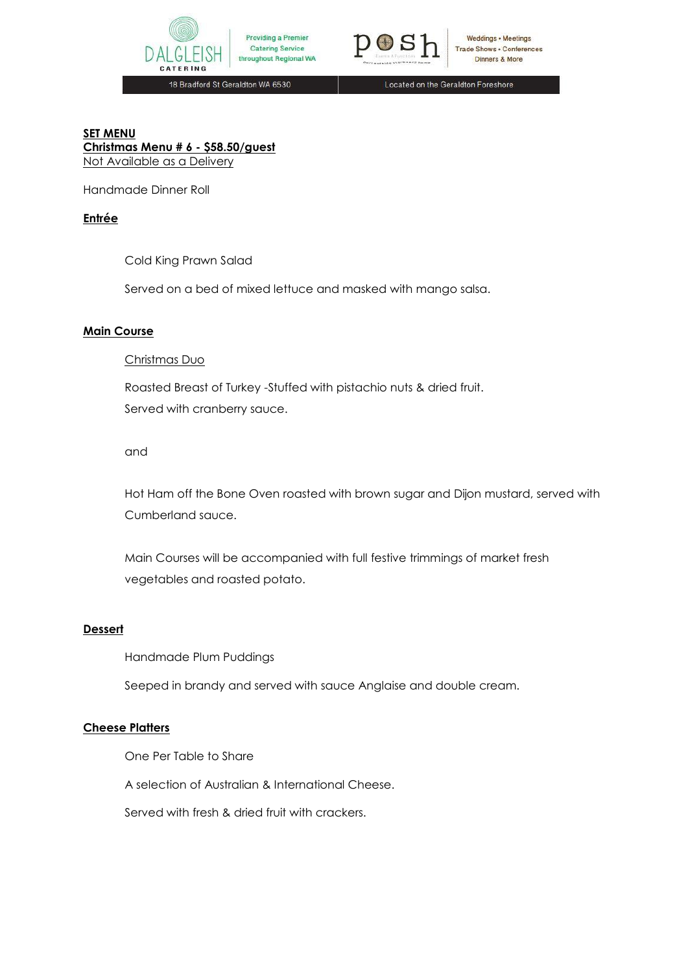



18 Bradford St Geraldton WA 6530

Located on the Geraldton Foreshore

# **SET MENU Christmas Menu # 6 - \$58.50/guest** Not Available as a Delivery

Handmade Dinner Roll

# **Entrée**

Cold King Prawn Salad

Served on a bed of mixed lettuce and masked with mango salsa.

## **Main Course**

#### Christmas Duo

Roasted Breast of Turkey -Stuffed with pistachio nuts & dried fruit. Served with cranberry sauce.

## and

Hot Ham off the Bone Oven roasted with brown sugar and Dijon mustard, served with Cumberland sauce.

Main Courses will be accompanied with full festive trimmings of market fresh vegetables and roasted potato.

# **Dessert**

Handmade Plum Puddings

Seeped in brandy and served with sauce Anglaise and double cream.

# **Cheese Platters**

One Per Table to Share

A selection of Australian & International Cheese.

Served with fresh & dried fruit with crackers.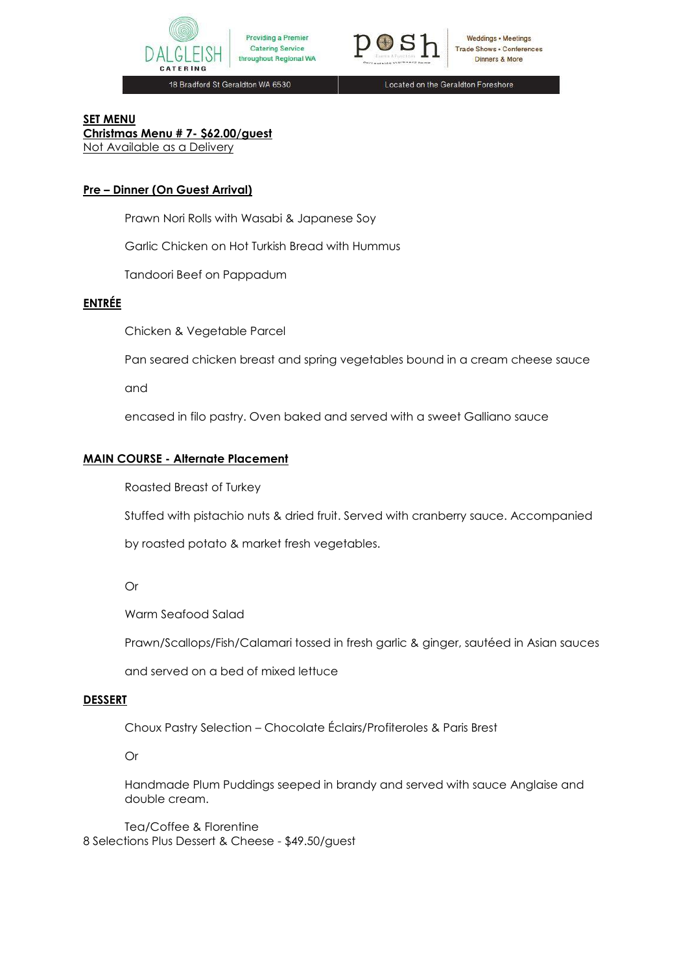



18 Bradford St Geraldton WA 6530

Located on the Geraldton Foreshore

# **SET MENU**

**Christmas Menu # 7- \$62.00/guest** Not Available as a Delivery

# **Pre – Dinner (On Guest Arrival)**

Prawn Nori Rolls with Wasabi & Japanese Soy

Garlic Chicken on Hot Turkish Bread with Hummus

Tandoori Beef on Pappadum

# **ENTRÉE**

Chicken & Vegetable Parcel

Pan seared chicken breast and spring vegetables bound in a cream cheese sauce

and

encased in filo pastry. Oven baked and served with a sweet Galliano sauce

## **MAIN COURSE - Alternate Placement**

Roasted Breast of Turkey

Stuffed with pistachio nuts & dried fruit. Served with cranberry sauce. Accompanied

by roasted potato & market fresh vegetables.

Or

Warm Seafood Salad

Prawn/Scallops/Fish/Calamari tossed in fresh garlic & ginger, sautéed in Asian sauces

and served on a bed of mixed lettuce

#### **DESSERT**

Choux Pastry Selection – Chocolate Éclairs/Profiteroles & Paris Brest

Or

Handmade Plum Puddings seeped in brandy and served with sauce Anglaise and double cream.

Tea/Coffee & Florentine 8 Selections Plus Dessert & Cheese - \$49.50/guest